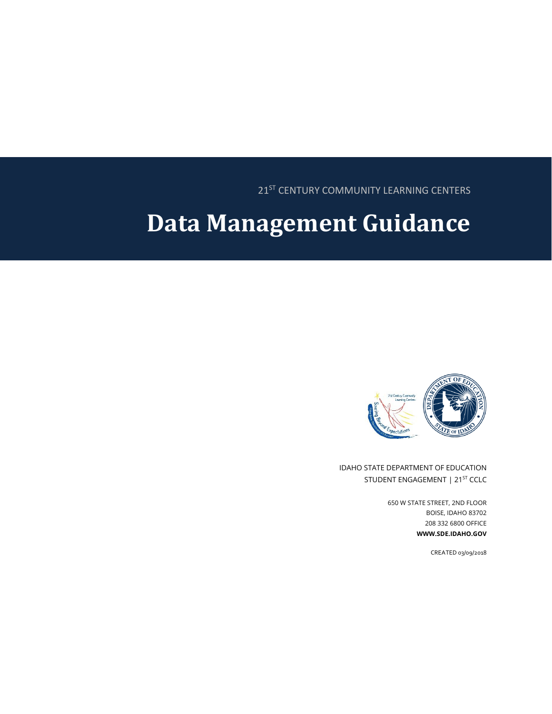21<sup>ST</sup> CENTURY COMMUNITY LEARNING CENTERS

# **Data Management Guidance**



IDAHO STATE DEPARTMENT OF EDUCATION STUDENT ENGAGEMENT | 21<sup>ST</sup> CCLC

> 650 W STATE STREET, 2ND FLOOR BOISE, IDAHO 83702 208 332 6800 OFFICE **WWW.SDE.IDAHO.GOV**

> > CREATED 03/09/2018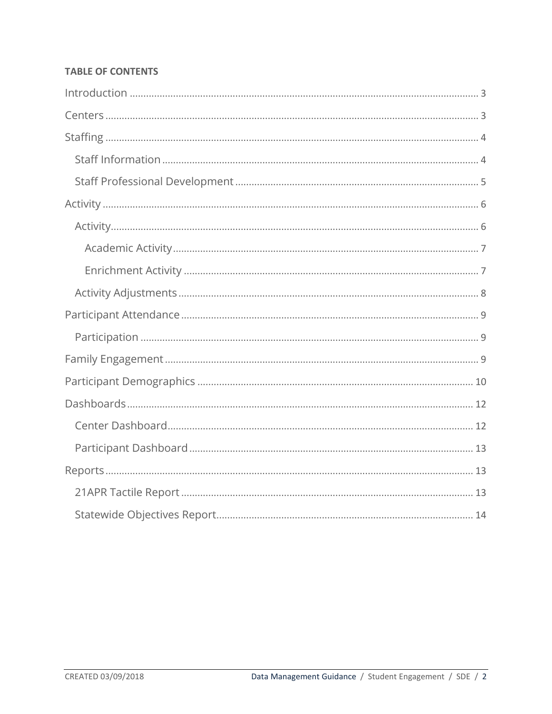## **TABLE OF CONTENTS**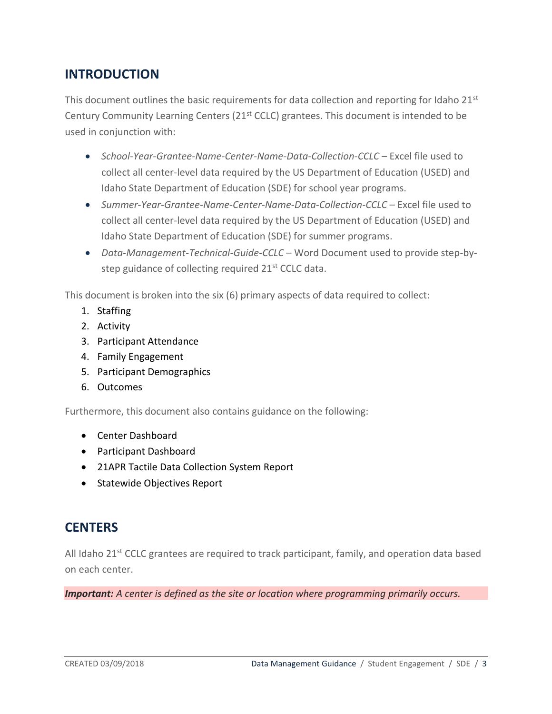# <span id="page-2-0"></span>**INTRODUCTION**

This document outlines the basic requirements for data collection and reporting for Idaho  $21^{st}$ Century Community Learning Centers (21st CCLC) grantees. This document is intended to be used in conjunction with:

- *School-Year-Grantee-Name-Center-Name-Data-Collection-CCLC* Excel file used to collect all center-level data required by the US Department of Education (USED) and Idaho State Department of Education (SDE) for school year programs.
- *Summer-Year-Grantee-Name-Center-Name-Data-Collection-CCLC* Excel file used to collect all center-level data required by the US Department of Education (USED) and Idaho State Department of Education (SDE) for summer programs.
- *Data-Management-Technical-Guide-CCLC*  Word Document used to provide step-bystep guidance of collecting required 21<sup>st</sup> CCLC data.

This document is broken into the six (6) primary aspects of data required to collect:

- 1. Staffing
- 2. Activity
- 3. Participant Attendance
- 4. Family Engagement
- 5. Participant Demographics
- 6. Outcomes

Furthermore, this document also contains guidance on the following:

- Center Dashboard
- Participant Dashboard
- 21APR Tactile Data Collection System Report
- Statewide Objectives Report

# <span id="page-2-1"></span>**CENTERS**

All Idaho  $21^{st}$  CCLC grantees are required to track participant, family, and operation data based on each center.

*Important: A center is defined as the site or location where programming primarily occurs.*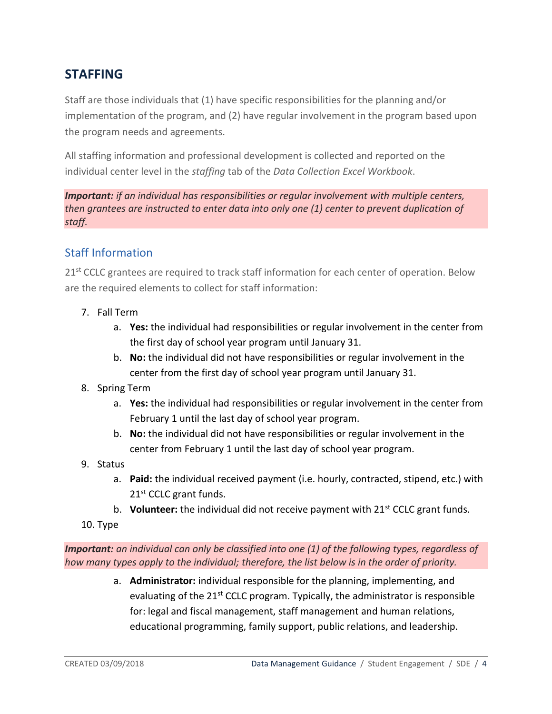# <span id="page-3-0"></span>**STAFFING**

Staff are those individuals that (1) have specific responsibilities for the planning and/or implementation of the program, and (2) have regular involvement in the program based upon the program needs and agreements.

All staffing information and professional development is collected and reported on the individual center level in the *staffing* tab of the *Data Collection Excel Workbook*.

*Important: if an individual has responsibilities or regular involvement with multiple centers, then grantees are instructed to enter data into only one (1) center to prevent duplication of staff.*

# <span id="page-3-1"></span>Staff Information

21<sup>st</sup> CCLC grantees are required to track staff information for each center of operation. Below are the required elements to collect for staff information:

- 7. Fall Term
	- a. **Yes:** the individual had responsibilities or regular involvement in the center from the first day of school year program until January 31.
	- b. **No:** the individual did not have responsibilities or regular involvement in the center from the first day of school year program until January 31.
- 8. Spring Term
	- a. **Yes:** the individual had responsibilities or regular involvement in the center from February 1 until the last day of school year program.
	- b. **No:** the individual did not have responsibilities or regular involvement in the center from February 1 until the last day of school year program.
- 9. Status
	- a. **Paid:** the individual received payment (i.e. hourly, contracted, stipend, etc.) with 21<sup>st</sup> CCLC grant funds.
	- b. **Volunteer:** the individual did not receive payment with 21<sup>st</sup> CCLC grant funds.
- 10. Type

*Important: an individual can only be classified into one (1) of the following types, regardless of how many types apply to the individual; therefore, the list below is in the order of priority.*

> a. **Administrator:** individual responsible for the planning, implementing, and evaluating of the 21<sup>st</sup> CCLC program. Typically, the administrator is responsible for: legal and fiscal management, staff management and human relations, educational programming, family support, public relations, and leadership.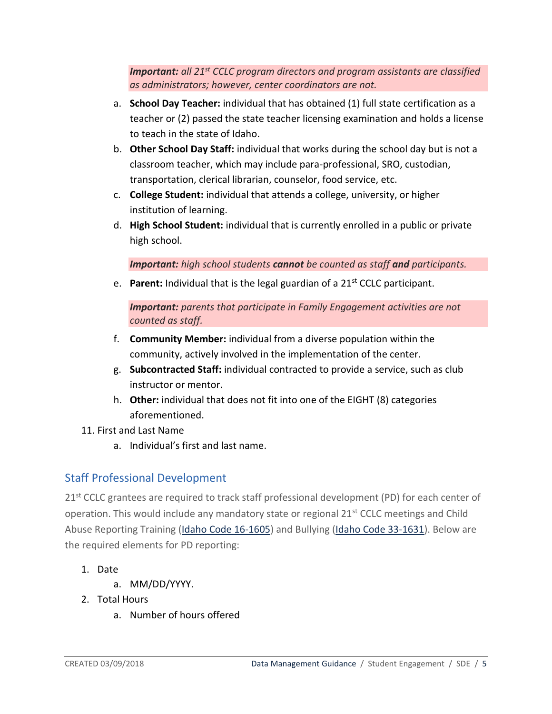*Important: all 21st CCLC program directors and program assistants are classified as administrators; however, center coordinators are not.*

- a. **School Day Teacher:** individual that has obtained (1) full state certification as a teacher or (2) passed the state teacher licensing examination and holds a license to teach in the state of Idaho.
- b. **Other School Day Staff:** individual that works during the school day but is not a classroom teacher, which may include para-professional, SRO, custodian, transportation, clerical librarian, counselor, food service, etc.
- c. **College Student:** individual that attends a college, university, or higher institution of learning.
- d. **High School Student:** individual that is currently enrolled in a public or private high school.

*Important: high school students cannot be counted as staff and participants.*

e. **Parent:** Individual that is the legal guardian of a 21st CCLC participant.

*Important: parents that participate in Family Engagement activities are not counted as staff.*

- f. **Community Member:** individual from a diverse population within the community, actively involved in the implementation of the center.
- g. **Subcontracted Staff:** individual contracted to provide a service, such as club instructor or mentor.
- h. **Other:** individual that does not fit into one of the EIGHT (8) categories aforementioned.
- 11. First and Last Name
	- a. Individual's first and last name.

# <span id="page-4-0"></span>Staff Professional Development

21<sup>st</sup> CCLC grantees are required to track staff professional development (PD) for each center of operation. This would include any mandatory state or regional  $21<sup>st</sup>$  CCLC meetings and Child Abuse Reporting Training [\(Idaho Code 16-1605\)](https://legislature.idaho.gov/statutesrules/idstat/title16/t16ch16/sect16-1605/) and Bullying [\(Idaho Code 33-1631\)](http://legislature.idaho.gov/statutesrules/idstat/Title33/T33CH16/SECT33-1631/). Below are the required elements for PD reporting:

- 1. Date
	- a. MM/DD/YYYY.
- 2. Total Hours
	- a. Number of hours offered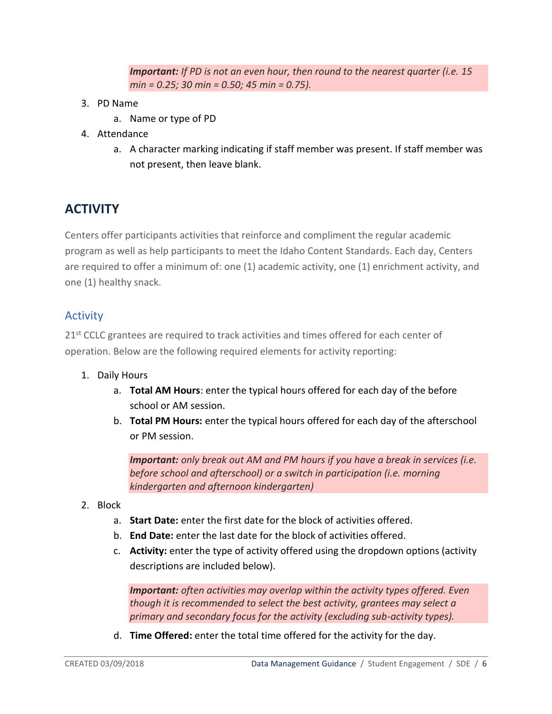*Important: If PD is not an even hour, then round to the nearest quarter (i.e. 15 min = 0.25; 30 min = 0.50; 45 min = 0.75).*

- 3. PD Name
	- a. Name or type of PD
- 4. Attendance
	- a. A character marking indicating if staff member was present. If staff member was not present, then leave blank.

# <span id="page-5-0"></span>**ACTIVITY**

Centers offer participants activities that reinforce and compliment the regular academic program as well as help participants to meet the Idaho Content Standards. Each day, Centers are required to offer a minimum of: one (1) academic activity, one (1) enrichment activity, and one (1) healthy snack.

### <span id="page-5-1"></span>Activity

21<sup>st</sup> CCLC grantees are required to track activities and times offered for each center of operation. Below are the following required elements for activity reporting:

- 1. Daily Hours
	- a. **Total AM Hours**: enter the typical hours offered for each day of the before school or AM session.
	- b. **Total PM Hours:** enter the typical hours offered for each day of the afterschool or PM session.

*Important: only break out AM and PM hours if you have a break in services (i.e. before school and afterschool) or a switch in participation (i.e. morning kindergarten and afternoon kindergarten)*

- 2. Block
	- a. **Start Date:** enter the first date for the block of activities offered.
	- b. **End Date:** enter the last date for the block of activities offered.
	- c. **Activity:** enter the type of activity offered using the dropdown options (activity descriptions are included below).

*Important: often activities may overlap within the activity types offered. Even though it is recommended to select the best activity, grantees may select a primary and secondary focus for the activity (excluding sub-activity types).*

d. **Time Offered:** enter the total time offered for the activity for the day.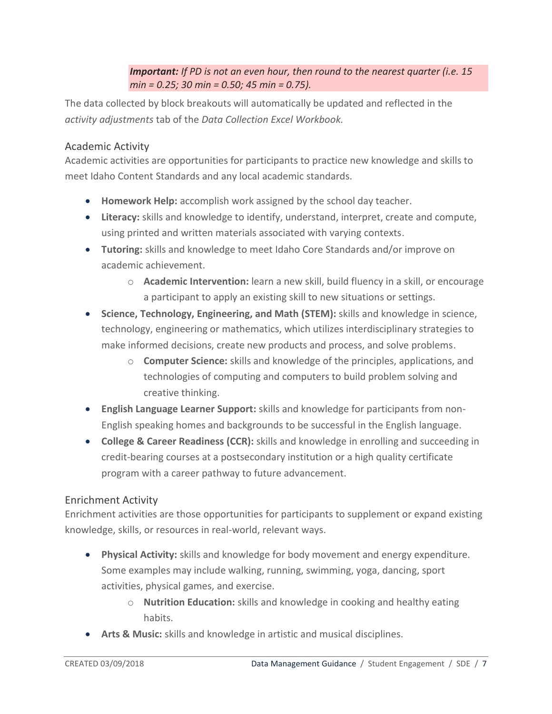### *Important: If PD is not an even hour, then round to the nearest quarter (i.e. 15 min = 0.25; 30 min = 0.50; 45 min = 0.75).*

The data collected by block breakouts will automatically be updated and reflected in the *activity adjustments* tab of the *Data Collection Excel Workbook.*

## <span id="page-6-0"></span>Academic Activity

Academic activities are opportunities for participants to practice new knowledge and skills to meet Idaho Content Standards and any local academic standards.

- **Homework Help:** accomplish work assigned by the school day teacher.
- **Literacy:** skills and knowledge to identify, understand, interpret, create and compute, using printed and written materials associated with varying contexts.
- **Tutoring:** skills and knowledge to meet Idaho Core Standards and/or improve on academic achievement.
	- o **Academic Intervention:** learn a new skill, build fluency in a skill, or encourage a participant to apply an existing skill to new situations or settings.
- **Science, Technology, Engineering, and Math (STEM):** skills and knowledge in science, technology, engineering or mathematics, which utilizes interdisciplinary strategies to make informed decisions, create new products and process, and solve problems.
	- o **Computer Science:** skills and knowledge of the principles, applications, and technologies of computing and computers to build problem solving and creative thinking.
- **English Language Learner Support:** skills and knowledge for participants from non-English speaking homes and backgrounds to be successful in the English language.
- **College & Career Readiness (CCR):** skills and knowledge in enrolling and succeeding in credit-bearing courses at a postsecondary institution or a high quality certificate program with a career pathway to future advancement.

### <span id="page-6-1"></span>Enrichment Activity

Enrichment activities are those opportunities for participants to supplement or expand existing knowledge, skills, or resources in real-world, relevant ways.

- **Physical Activity:** skills and knowledge for body movement and energy expenditure. Some examples may include walking, running, swimming, yoga, dancing, sport activities, physical games, and exercise.
	- o **Nutrition Education:** skills and knowledge in cooking and healthy eating habits.
- **Arts & Music:** skills and knowledge in artistic and musical disciplines.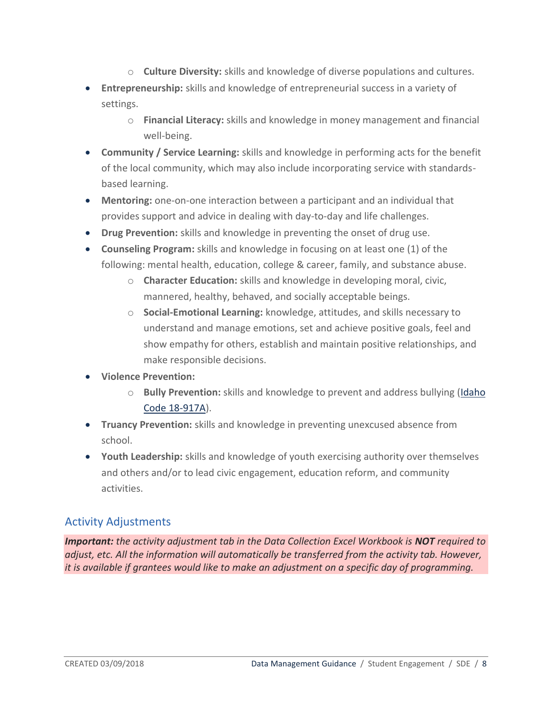- o **Culture Diversity:** skills and knowledge of diverse populations and cultures.
- **Entrepreneurship:** skills and knowledge of entrepreneurial success in a variety of settings.
	- o **Financial Literacy:** skills and knowledge in money management and financial well-being.
- **Community / Service Learning:** skills and knowledge in performing acts for the benefit of the local community, which may also include incorporating service with standardsbased learning.
- **Mentoring:** one-on-one interaction between a participant and an individual that provides support and advice in dealing with day-to-day and life challenges.
- **Drug Prevention:** skills and knowledge in preventing the onset of drug use.
- **Counseling Program:** skills and knowledge in focusing on at least one (1) of the following: mental health, education, college & career, family, and substance abuse.
	- o **Character Education:** skills and knowledge in developing moral, civic, mannered, healthy, behaved, and socially acceptable beings.
	- o **Social-Emotional Learning:** knowledge, attitudes, and skills necessary to understand and manage emotions, set and achieve positive goals, feel and show empathy for others, establish and maintain positive relationships, and make responsible decisions.
- **Violence Prevention:**
	- o **Bully Prevention:** skills and knowledge to prevent and address bullying [\(Idaho](https://legislature.idaho.gov/statutesrules/idstat/title18/t18ch9/sect18-917a/)  [Code 18-917A\)](https://legislature.idaho.gov/statutesrules/idstat/title18/t18ch9/sect18-917a/).
- **Truancy Prevention:** skills and knowledge in preventing unexcused absence from school.
- **Youth Leadership:** skills and knowledge of youth exercising authority over themselves and others and/or to lead civic engagement, education reform, and community activities.

## <span id="page-7-0"></span>Activity Adjustments

*Important: the activity adjustment tab in the Data Collection Excel Workbook is NOT required to adjust, etc. All the information will automatically be transferred from the activity tab. However, it is available if grantees would like to make an adjustment on a specific day of programming.*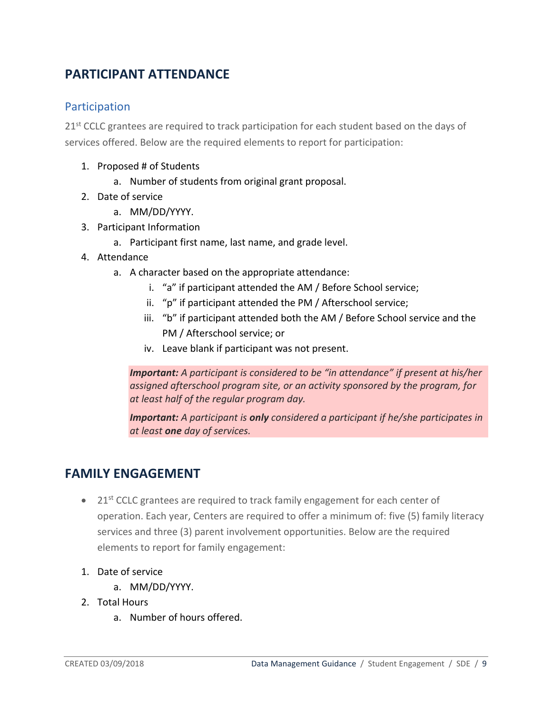# <span id="page-8-0"></span>**PARTICIPANT ATTENDANCE**

## <span id="page-8-1"></span>Participation

21<sup>st</sup> CCLC grantees are required to track participation for each student based on the days of services offered. Below are the required elements to report for participation:

- 1. Proposed # of Students
	- a. Number of students from original grant proposal.
- 2. Date of service
	- a. MM/DD/YYYY.
- 3. Participant Information
	- a. Participant first name, last name, and grade level.
- 4. Attendance
	- a. A character based on the appropriate attendance:
		- i. "a" if participant attended the AM / Before School service;
		- ii. "p" if participant attended the PM / Afterschool service;
		- iii. "b" if participant attended both the AM / Before School service and the PM / Afterschool service; or
		- iv. Leave blank if participant was not present.

*Important: A participant is considered to be "in attendance" if present at his/her assigned afterschool program site, or an activity sponsored by the program, for at least half of the regular program day.*

*Important: A participant is only considered a participant if he/she participates in at least one day of services.*

# <span id="page-8-2"></span>**FAMILY ENGAGEMENT**

- 21<sup>st</sup> CCLC grantees are required to track family engagement for each center of operation. Each year, Centers are required to offer a minimum of: five (5) family literacy services and three (3) parent involvement opportunities. Below are the required elements to report for family engagement:
- 1. Date of service
	- a. MM/DD/YYYY.
- 2. Total Hours
	- a. Number of hours offered.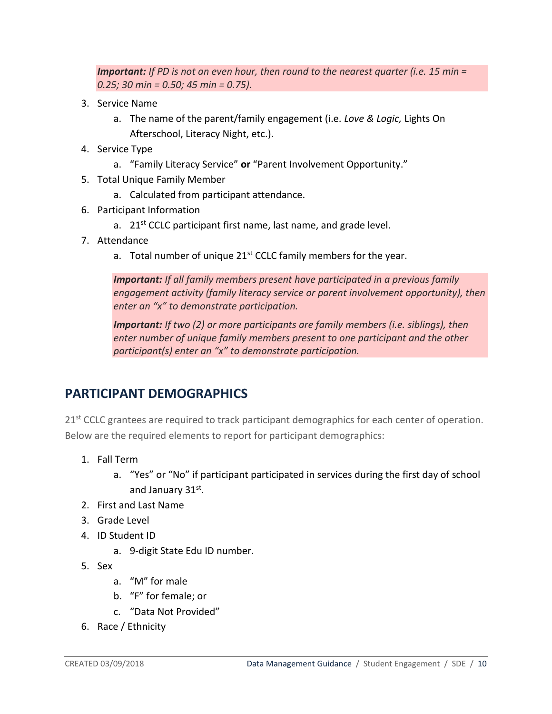*Important: If PD is not an even hour, then round to the nearest quarter (i.e. 15 min = 0.25; 30 min = 0.50; 45 min = 0.75).*

- 3. Service Name
	- a. The name of the parent/family engagement (i.e. *Love & Logic,* Lights On Afterschool, Literacy Night, etc.).
- 4. Service Type
	- a. "Family Literacy Service" **or** "Parent Involvement Opportunity."
- 5. Total Unique Family Member
	- a. Calculated from participant attendance.
- 6. Participant Information
	- a.  $21<sup>st</sup>$  CCLC participant first name, last name, and grade level.
- 7. Attendance
	- a. Total number of unique  $21<sup>st</sup>$  CCLC family members for the year.

*Important: If all family members present have participated in a previous family engagement activity (family literacy service or parent involvement opportunity), then enter an "x" to demonstrate participation.*

*Important: If two (2) or more participants are family members (i.e. siblings), then enter number of unique family members present to one participant and the other participant(s) enter an "x" to demonstrate participation.*

# <span id="page-9-0"></span>**PARTICIPANT DEMOGRAPHICS**

21<sup>st</sup> CCLC grantees are required to track participant demographics for each center of operation. Below are the required elements to report for participant demographics:

- 1. Fall Term
	- a. "Yes" or "No" if participant participated in services during the first day of school and January 31st.
- 2. First and Last Name
- 3. Grade Level
- 4. ID Student ID
	- a. 9-digit State Edu ID number.
- 5. Sex
	- a. "M" for male
	- b. "F" for female; or
	- c. "Data Not Provided"
- 6. Race / Ethnicity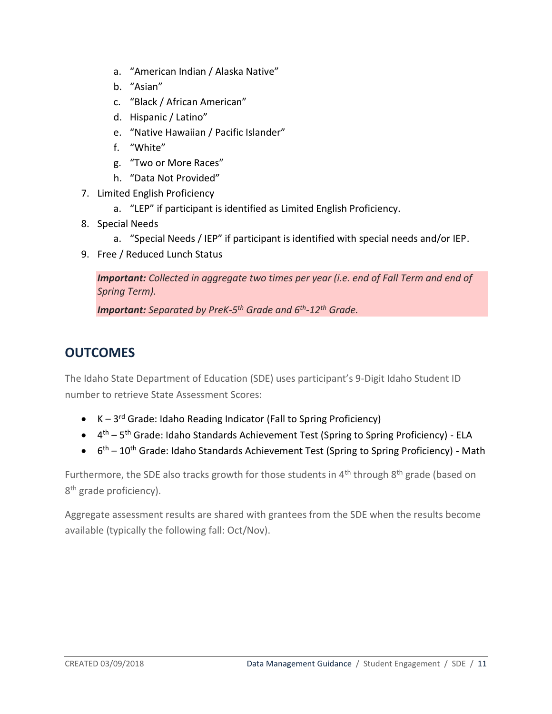- a. "American Indian / Alaska Native"
- b. "Asian"
- c. "Black / African American"
- d. Hispanic / Latino"
- e. "Native Hawaiian / Pacific Islander"
- f. "White"
- g. "Two or More Races"
- h. "Data Not Provided"
- 7. Limited English Proficiency
	- a. "LEP" if participant is identified as Limited English Proficiency.
- 8. Special Needs
	- a. "Special Needs / IEP" if participant is identified with special needs and/or IEP.
- 9. Free / Reduced Lunch Status

*Important: Collected in aggregate two times per year (i.e. end of Fall Term and end of Spring Term).*

*Important: Separated by PreK-5 th Grade and 6th -12th Grade.*

# **OUTCOMES**

The Idaho State Department of Education (SDE) uses participant's 9-Digit Idaho Student ID number to retrieve State Assessment Scores:

- K-3<sup>rd</sup> Grade: Idaho Reading Indicator (Fall to Spring Proficiency)
- 4<sup>th</sup> 5<sup>th</sup> Grade: Idaho Standards Achievement Test (Spring to Spring Proficiency) ELA
- $\bullet$  6<sup>th</sup> 10<sup>th</sup> Grade: Idaho Standards Achievement Test (Spring to Spring Proficiency) Math

Furthermore, the SDE also tracks growth for those students in  $4<sup>th</sup>$  through  $8<sup>th</sup>$  grade (based on 8<sup>th</sup> grade proficiency).

Aggregate assessment results are shared with grantees from the SDE when the results become available (typically the following fall: Oct/Nov).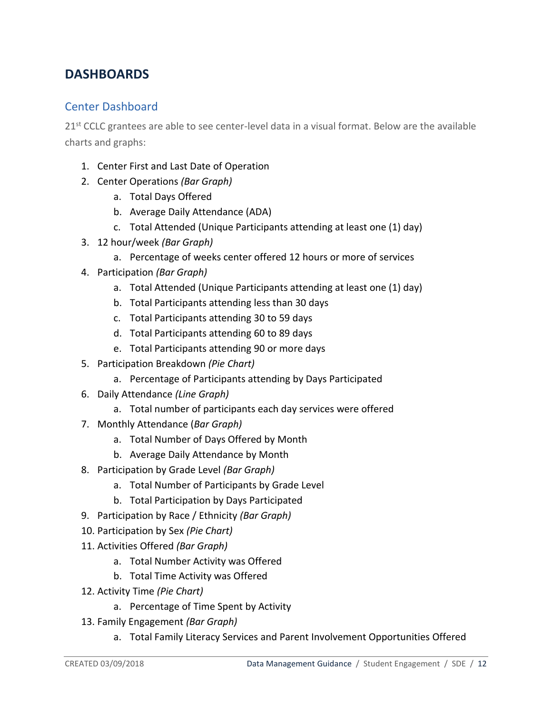# <span id="page-11-0"></span>**DASHBOARDS**

## <span id="page-11-1"></span>Center Dashboard

 $21<sup>st</sup>$  CCLC grantees are able to see center-level data in a visual format. Below are the available charts and graphs:

- 1. Center First and Last Date of Operation
- 2. Center Operations *(Bar Graph)*
	- a. Total Days Offered
	- b. Average Daily Attendance (ADA)
	- c. Total Attended (Unique Participants attending at least one (1) day)
- 3. 12 hour/week *(Bar Graph)*
	- a. Percentage of weeks center offered 12 hours or more of services
- 4. Participation *(Bar Graph)*
	- a. Total Attended (Unique Participants attending at least one (1) day)
	- b. Total Participants attending less than 30 days
	- c. Total Participants attending 30 to 59 days
	- d. Total Participants attending 60 to 89 days
	- e. Total Participants attending 90 or more days
- 5. Participation Breakdown *(Pie Chart)*
	- a. Percentage of Participants attending by Days Participated
- 6. Daily Attendance *(Line Graph)*
	- a. Total number of participants each day services were offered
- 7. Monthly Attendance (*Bar Graph)*
	- a. Total Number of Days Offered by Month
	- b. Average Daily Attendance by Month
- 8. Participation by Grade Level *(Bar Graph)*
	- a. Total Number of Participants by Grade Level
	- b. Total Participation by Days Participated
- 9. Participation by Race / Ethnicity *(Bar Graph)*
- 10. Participation by Sex *(Pie Chart)*
- 11. Activities Offered *(Bar Graph)*
	- a. Total Number Activity was Offered
	- b. Total Time Activity was Offered
- 12. Activity Time *(Pie Chart)*
	- a. Percentage of Time Spent by Activity
- 13. Family Engagement *(Bar Graph)*
	- a. Total Family Literacy Services and Parent Involvement Opportunities Offered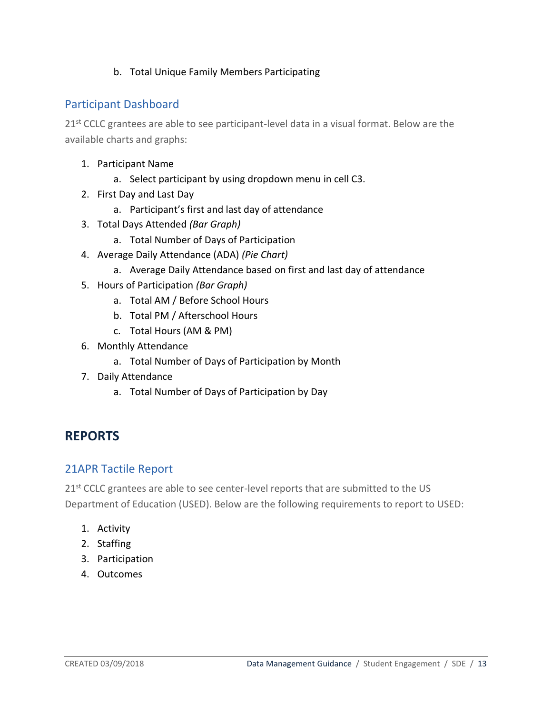#### b. Total Unique Family Members Participating

## <span id="page-12-0"></span>Participant Dashboard

21<sup>st</sup> CCLC grantees are able to see participant-level data in a visual format. Below are the available charts and graphs:

- 1. Participant Name
	- a. Select participant by using dropdown menu in cell C3.
- 2. First Day and Last Day
	- a. Participant's first and last day of attendance
- 3. Total Days Attended *(Bar Graph)*
	- a. Total Number of Days of Participation
- 4. Average Daily Attendance (ADA) *(Pie Chart)*
	- a. Average Daily Attendance based on first and last day of attendance
- 5. Hours of Participation *(Bar Graph)*
	- a. Total AM / Before School Hours
	- b. Total PM / Afterschool Hours
	- c. Total Hours (AM & PM)
- 6. Monthly Attendance
	- a. Total Number of Days of Participation by Month
- 7. Daily Attendance
	- a. Total Number of Days of Participation by Day

# <span id="page-12-1"></span>**REPORTS**

### <span id="page-12-2"></span>21APR Tactile Report

21<sup>st</sup> CCLC grantees are able to see center-level reports that are submitted to the US Department of Education (USED). Below are the following requirements to report to USED:

- 1. Activity
- 2. Staffing
- 3. Participation
- 4. Outcomes